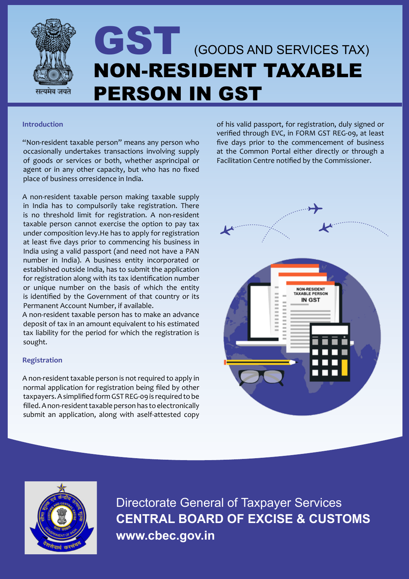

# GST (GOODS AND SERVICES TAX) NON-RESIDENT TAXABLE PERSON IN GST

#### **Introduction**

"Non-resident taxable person" means any person who occasionally undertakes transactions involving supply of goods or services or both, whether asprincipal or agent or in any other capacity, but who has no fixed place of business orresidence in India.

A non-resident taxable person making taxable supply in India has to compulsorily take registration. There is no threshold limit for registration. A non-resident taxable person cannot exercise the option to pay tax under composition levy.He has to apply for registration at least five days prior to commencing his business in India using a valid passport (and need not have a PAN number in India). A business entity incorporated or established outside India, has to submit the application for registration along with its tax identification number or unique number on the basis of which the entity is identified by the Government of that country or its Permanent Account Number, if available.

A non-resident taxable person has to make an advance deposit of tax in an amount equivalent to his estimated tax liability for the period for which the registration is sought.

### **Registration**

A non-resident taxable person is not required to apply in normal application for registration being filed by other taxpayers. A simplified form GST REG-09 is required to be filled. A non-resident taxable person has to electronically submit an application, along with aself-attested copy

of his valid passport, for registration, duly signed or verified through EVC, in FORM GST REG-09, at least five days prior to the commencement of business at the Common Portal either directly or through a Facilitation Centre notified by the Commissioner.





Directorate General of Taxpayer Services **CENTRAL BOARD OF EXCISE & CUSTOMS www.cbec.gov.in**